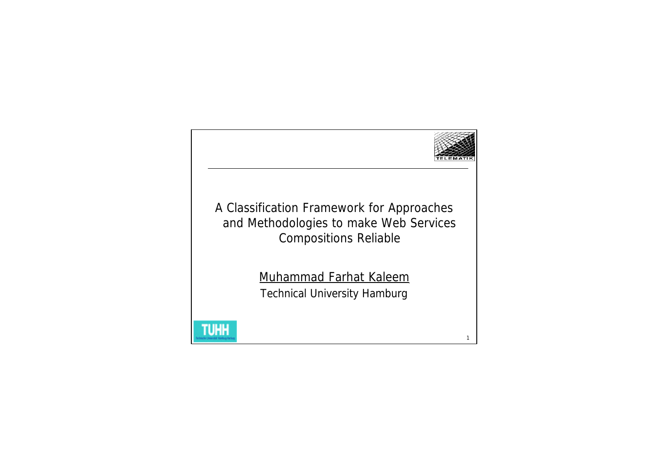

A Classification Framework for Approaches and Methodologies to make Web Services Compositions Reliable

> Muhammad Farhat Kaleem Technical University Hamburg

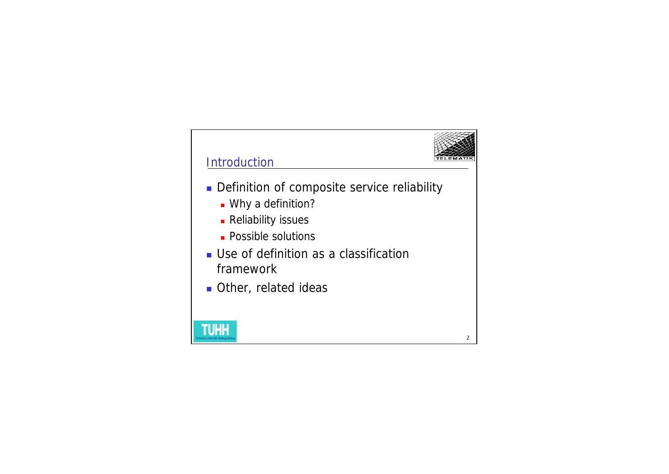

## **Introduction**

- Definition of composite service reliability
	- **Nhy a definition?**
	- **Reliability issues**
	- **Possible solutions**
- **u** Use of definition as a classification framework
- **Other, related ideas**

# **TUHH**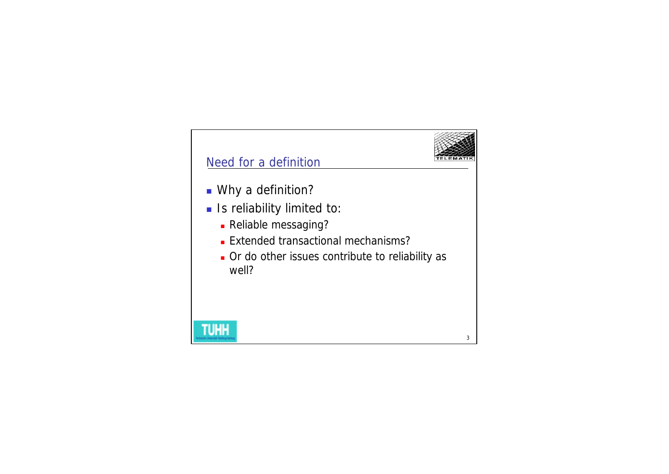

#### Need for a definition

- Why a definition?
- **n** Is reliability limited to:
	- **Reliable messaging?**
	- **Extended transactional mechanisms?**
	- n Or do other issues contribute to reliability as well?

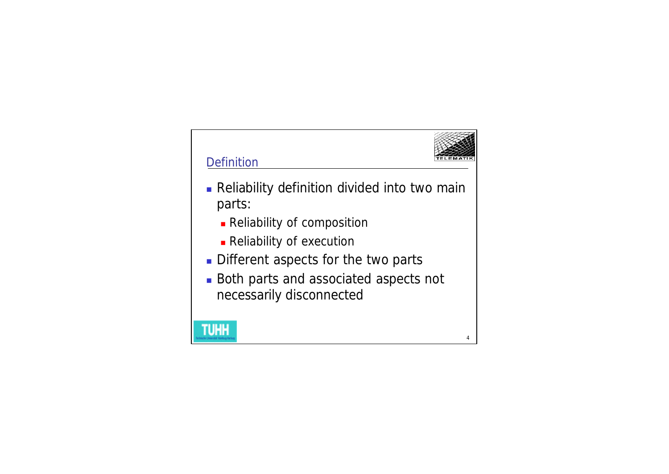

- **Reliability definition divided into two main** parts:
	- **Reliability of composition**
	- **Reliability of execution**
- Different aspects for the two parts
- **Both parts and associated aspects not** necessarily disconnected

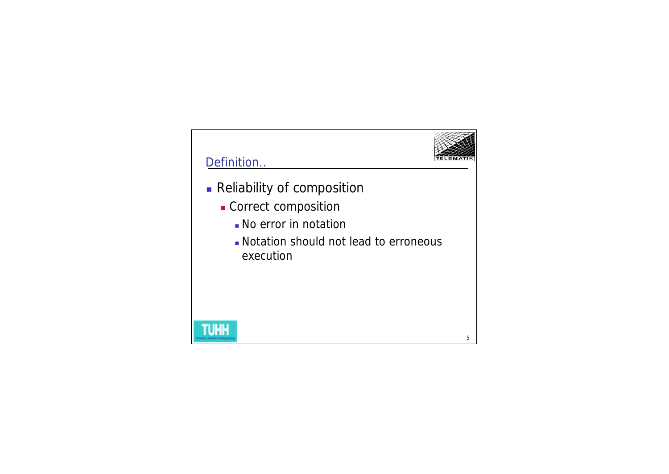

## Definition..

**TUHH** 

- **Reliability of composition** 
	- **Correct composition** 
		- **No error in notation**
		- **Notation should not lead to erroneous** execution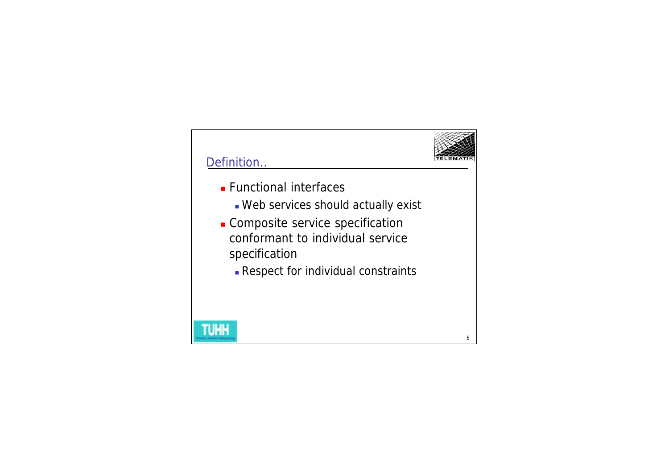

- **Functional interfaces** 
	- **Neb services should actually exist**
- **.** Composite service specification conformant to individual service specification
	- **Respect for individual constraints**

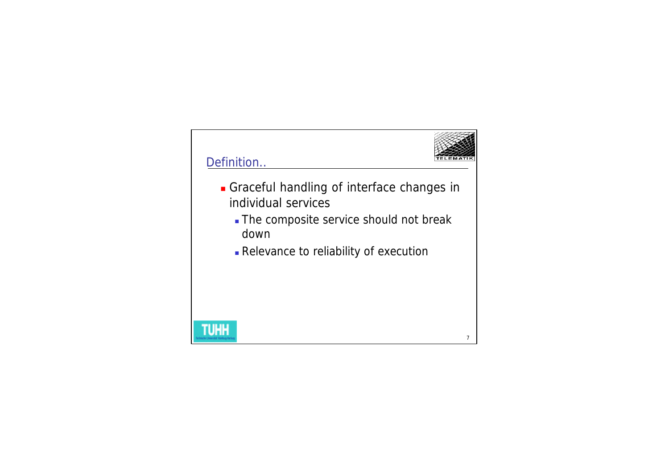

- <sup>n</sup> Graceful handling of interface changes in individual services
	- The composite service should not break down
	- <sup>n</sup> Relevance to reliability of execution

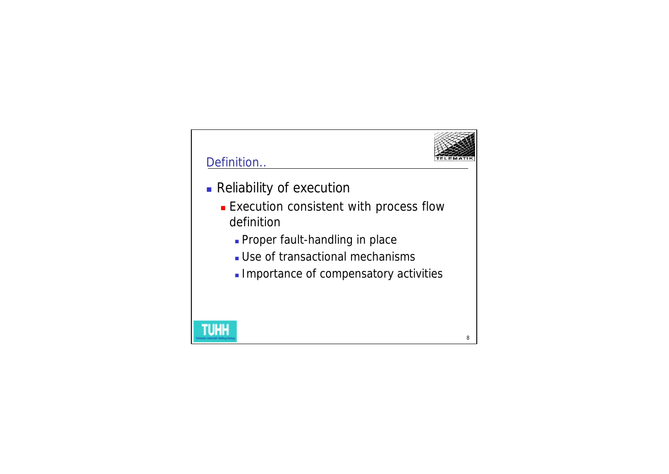

- **Reliability of execution** 
	- **Execution consistent with process flow** definition
		- **Proper fault-handling in place**
		- **.** Use of transactional mechanisms
		- **. Importance of compensatory activities**

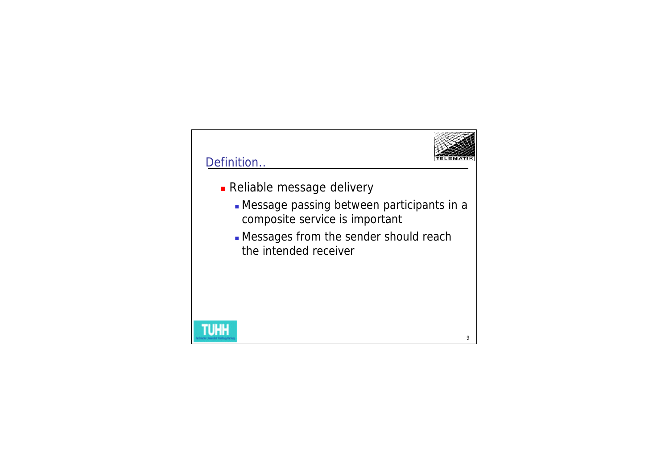

- **Reliable message delivery** 
	- <sup>n</sup> Message passing between participants in a composite service is important
	- **.** Messages from the sender should reach the intended receiver

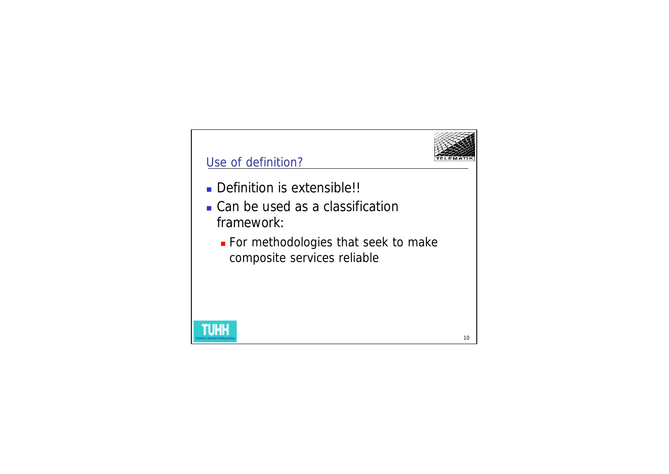

#### Use of definition?

- Definition is extensible!!
- Can be used as a classification framework:
	- **For methodologies that seek to make** composite services reliable



10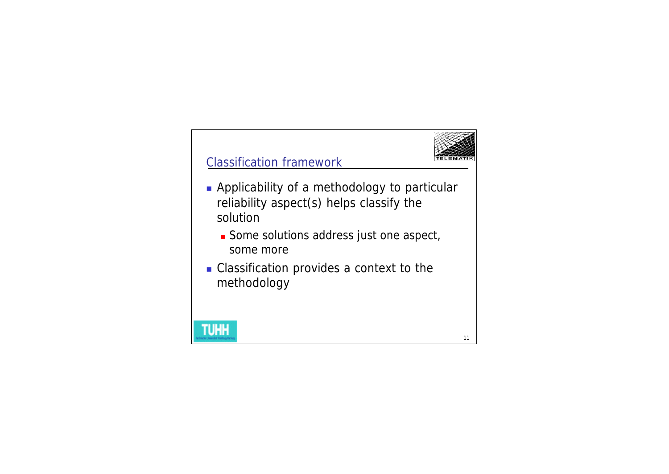

#### Classification framework

- **Applicability of a methodology to particular** reliability aspect(s) helps classify the solution
	- **n** Some solutions address just one aspect, some more
- Classification provides a context to the methodology

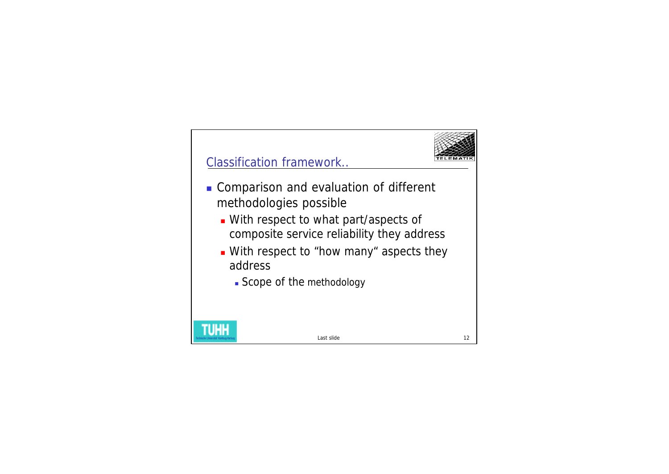

## Classification framework..

- **n** Comparison and evaluation of different methodologies possible
	- **Nith respect to what part/aspects of** composite service reliability they address
	- **Nith respect to "how many" aspects they** address
		- **Scope of the methodology**



Last slide

12